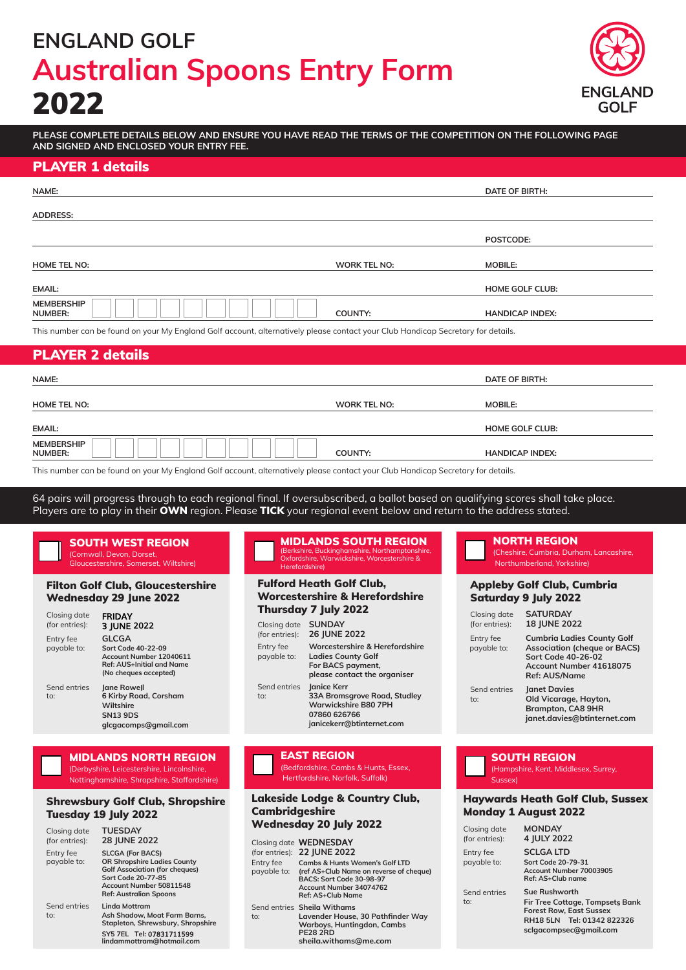# **ENGLAND GOLF Australian Spoons Entry Form** 2022



**PLEASE COMPLETE DETAILS BELOW AND ENSURE YOU HAVE READ THE TERMS OF THE COMPETITION ON THE FOLLOWING PAGE AND SIGNED AND ENCLOSED YOUR ENTRY FEE.**

### PLAYER 1 details

| NAME:                                                                                                                          |              | <b>DATE OF BIRTH:</b>  |
|--------------------------------------------------------------------------------------------------------------------------------|--------------|------------------------|
|                                                                                                                                |              |                        |
| <b>ADDRESS:</b>                                                                                                                |              |                        |
|                                                                                                                                |              | POSTCODE:              |
|                                                                                                                                |              |                        |
| <b>HOME TEL NO:</b>                                                                                                            | WORK TEL NO: | <b>MOBILE:</b>         |
| <b>EMAIL:</b>                                                                                                                  |              | <b>HOME GOLF CLUB:</b> |
| <b>MEMBERSHIP</b><br><b>NUMBER:</b>                                                                                            | COUNTY:      | <b>HANDICAP INDEX:</b> |
| This number can be found on your My England Golf account alternatively please contact your Club Handican Secretary for details |              |                        |

r can be found on your My England Golf account, alternatively please contact your Club Handicap Secretary for c

### PLAYER 2 details

| NAME:                                                                                                                           |              | DATE OF BIRTH:         |  |
|---------------------------------------------------------------------------------------------------------------------------------|--------------|------------------------|--|
| <b>HOME TEL NO:</b>                                                                                                             | WORK TEL NO: | <b>MOBILE:</b>         |  |
| <b>EMAIL:</b>                                                                                                                   |              | <b>HOME GOLF CLUB:</b> |  |
| <b>MEMBERSHIP</b><br>NUMBER:                                                                                                    | COUNTY:      | <b>HANDICAP INDEX:</b> |  |
| This number can be found on your My England Colf gocount, alternatively please contact your Club Handican Cocratory for details |              |                        |  |

an be found on your My England Golf account, alternatively please contact your Club Handicap Secretary for details.

64 pairs will progress through to each regional final. If oversubscribed, a ballot based on qualifying scores shall take place. Players are to play in their OWN region. Please TICK your regional event below and return to the address stated.

#### SOUTH WEST REGION (Cornwall, Devon, Dorset,

Gloucestershire, Somerset, Wiltshire)

#### Filton Golf Club, Gloucestershire Wednesday 29 June 2022

| Closing date<br>(for entries): | <b>FRIDAY</b><br>3 JUNE 2022                                                                                        |
|--------------------------------|---------------------------------------------------------------------------------------------------------------------|
| Entry fee<br>payable to:       | <b>GLCGA</b><br>Sort Code 40-22-09<br>Account Number 12040611<br>Ref: AUS+Initial and Name<br>(No cheques accepted) |
| Send entries<br>$\mathsf{to}$  | <b>Igne Rowell</b><br>6 Kirby Road, Corsham<br>Wiltshire<br><b>SN13 9DS</b><br>glcgacomps@gmail.com                 |

#### MIDLANDS NORTH REGION

(Derbyshire, Leicestershire, Lincolnshire, Nottinghamshire, Shropshire, Staffordshire)

#### Shrewsbury Golf Club, Shropshire Tuesday 19 July 2022

| Closing date<br>(for entries): | <b>TUESDAY</b><br><b>28 JUNE 2022</b>                                                                                                                                                    |
|--------------------------------|------------------------------------------------------------------------------------------------------------------------------------------------------------------------------------------|
| Entry fee<br>payable to:       | <b>SLCGA (For BACS)</b><br><b>OR Shropshire Ladies County</b><br><b>Golf Association (for cheques)</b><br>Sort Code 20-77-85<br>Account Number 50811548<br><b>Ref: Australian Spoons</b> |
| Send entries<br>to:            | Linda Mottram<br>Ash Shadow. Moat Farm Barns.<br>Stapleton, Shrewsbury, Shropshire<br>SY5 7EL Tel: 07831711599<br>lindammottram@hotmail.com                                              |

#### MIDLANDS SOUTH REGION (Berkshire, Buckinghamshire, Northamptons

Oxfordshire, Warwickshire, Worcestershire & Herefordshire)

#### Fulford Heath Golf Club, Worcestershire & Herefordshire Thursday 7 July 2022

| Closing date<br>(for entries): | <b>SUNDAY</b><br>26 JUNE 2022                                                                                           |
|--------------------------------|-------------------------------------------------------------------------------------------------------------------------|
| Entry fee<br>payable to:       | Worcestershire & Herefordshire<br><b>Ladies County Golf</b><br>For BACS payment,<br>please contact the organiser        |
| Send entries<br>to:            | Janice Kerr<br>33A Bromsgrove Road, Studley<br><b>Warwickshire B80 7PH</b><br>07860 626766<br>janicekerr@btinternet.com |

EAST REGION (Bedfordshire, Cambs & Hunts, Essex, Hertfordshire, Norfolk, Suffolk)

#### Lakeside Lodge & Country Club, **Cambridgeshire** Wednesday 20 July 2022

|                          | Closing date <b>WEDNESDAY</b><br>(for entries): 22 JUNE 2022                                                                                                     |
|--------------------------|------------------------------------------------------------------------------------------------------------------------------------------------------------------|
| Entry fee<br>payable to: | <b>Cambs &amp; Hunts Women's Golf LTD</b><br>(ref AS+Club Name on reverse of cheque)<br>BACS: Sort Code 30-98-97<br>Account Number 34074762<br>Ref: AS+Club Name |
| to:                      | Send entries Sheila Withams<br>Lavender House, 30 Pathfinder Way<br>Warboys, Huntingdon, Cambs<br><b>PE28 2RD</b><br>sheila.withams@me.com                       |

# NORTH REGION

(Cheshire, Cumbria, Durham, Lancashire, .<br>Northumberland, Yorkshire)

#### Appleby Golf Club, Cumbria Saturday 9 July 2022

| Closing date<br>(for entries): | <b>SATURDAY</b><br><b>18 JUNE 2022</b>                                                                                                                   |
|--------------------------------|----------------------------------------------------------------------------------------------------------------------------------------------------------|
| Entry fee<br>payable to:       | <b>Cumbria Ladies County Golf</b><br><b>Association (cheque or BACS)</b><br><b>Sort Code 40-26-02</b><br>Account Number 41618075<br><b>Ref: AUS/Name</b> |
| Send entries<br>to:            | Janet Davies<br>Old Vicarage, Hayton,<br><b>Brampton, CA8 9HR</b><br>janet.davies@btinternet.com                                                         |

# SOUTH REGION

(Hampshire, Kent, Middlesex, Surrey, Sussex)

#### Haywards Heath Golf Club, Sussex Monday 1 August 2022

| Closing date<br>(for entries): | <b>MONDAY</b><br>4 JULY 2022                                                                                                               |
|--------------------------------|--------------------------------------------------------------------------------------------------------------------------------------------|
| Entry fee<br>payable to:       | <b>SCLGALTD</b><br>Sort Code 20-79-31<br>Account Number 70003905<br>Ref: AS+Club name                                                      |
| Send entries<br>to:            | Sue Rushworth<br>Fir Tree Cottage, Tompsets Bank<br><b>Forest Row, East Sussex</b><br>RH18 5LN Tel: 01342 822326<br>sclgacompsec@gmail.com |